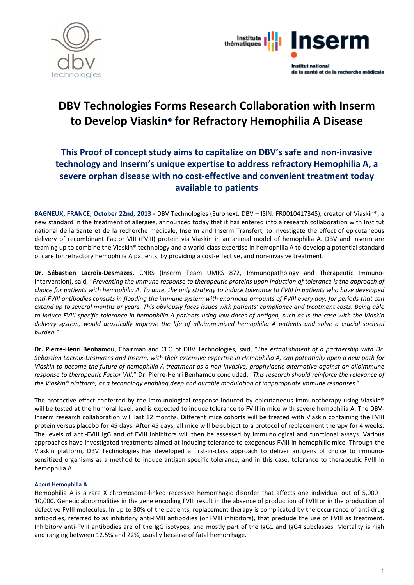



# DBV Technologies Forms Research Collaboration with Inserm to Develop Viaskin® for Refractory Hemophilia A Disease

# This Proof of concept study aims to capitalize on DBV's safe and non-invasive technology and Inserm's unique expertise to address refractory Hemophilia A, a severe orphan disease with no cost-effective and convenient treatment today available to patients

BAGNEUX, FRANCE, October 22nd, 2013 - DBV Technologies (Euronext: DBV – ISIN: FR0010417345), creator of Viaskin®, a new standard in the treatment of allergies, announced today that it has entered into a research collaboration with Institut national de la Santé et de la recherche médicale, Inserm and Inserm Transfert, to investigate the effect of epicutaneous delivery of recombinant Factor VIII (FVIII) protein via Viaskin in an animal model of hemophilia A. DBV and Inserm are teaming up to combine the Viaskin® technology and a world-class expertise in hemophilia A to develop a potential standard of care for refractory hemophilia A patients, by providing a cost-effective, and non-invasive treatment.

Dr. Sébastien Lacroix-Desmazes, CNRS (Inserm Team UMRS 872, Immunopathology and Therapeutic Immuno-Intervention), said, "*Preventing the immune response to therapeutic proteins upon induction of tolerance is the approach of choice for patients with hemophilia A. To date, the only strategy to induce tolerance to FVIII in patients who have developed anti-FVIII antibodies consists in flooding the immune system with enormous amounts of FVIII every day, for periods that can extend up to several months or years. This obviously faces issues with patients' compliance and treatment costs. Being able to induce FVIII-specific tolerance in hemophilia A patients using low doses of antigen, such as is the case with the Viaskin delivery system, would drastically improve the life of alloimmunized hemophilia A patients and solve a crucial societal burden."*

Dr. Pierre-Henri Benhamou, Chairman and CEO of DBV Technologies, said, "*The establishment of a partnership with Dr. Sebastien Lacroix-Desmazes and Inserm, with their extensive expertise in Hemophilia A, can potentially open a new path for Viaskin to become the future of hemophilia A treatment as a non-invasive, prophylactic alternative against an alloimmune response to therapeutic Factor VIII.*" Dr. Pierre-Henri Benhamou concluded: "*This research should reinforce the relevance of the Viaskin® platform, as a technology enabling deep and durable modulation of inappropriate immune responses*."

The protective effect conferred by the immunological response induced by epicutaneous immunotherapy using Viaskin® will be tested at the humoral level, and is expected to induce tolerance to FVIII in mice with severe hemophilia A. The DBV-Inserm research collaboration will last 12 months. Different mice cohorts will be treated with Viaskin containing the FVIII protein versus placebo for 45 days. After 45 days, all mice will be subject to a protocol of replacement therapy for 4 weeks. The levels of anti-FVIII IgG and of FVIII inhibitors will then be assessed by immunological and functional assays. Various approaches have investigated treatments aimed at inducing tolerance to exogenous FVIII in hemophilic mice. Through the Viaskin platform, DBV Technologies has developed a first-in-class approach to deliver antigens of choice to immunosensitized organisms as a method to induce antigen-specific tolerance, and in this case, tolerance to therapeutic FVIII in hemophilia A.

# About Hemophilia A

Hemophilia A is a rare X chromosome-linked recessive hemorrhagic disorder that affects one individual out of 5,000-10,000. Genetic abnormalities in the gene encoding FVIII result in the absence of production of FVIII or in the production of defective FVIII molecules. In up to 30% of the patients, replacement therapy is complicated by the occurrence of anti-drug antibodies, referred to as inhibitory anti-FVIII antibodies (or FVIII inhibitors), that preclude the use of FVIII as treatment. Inhibitory anti-FVIII antibodies are of the IgG isotypes, and mostly part of the IgG1 and IgG4 subclasses. Mortality is high and ranging between 12.5% and 22%, usually because of fatal hemorrhage.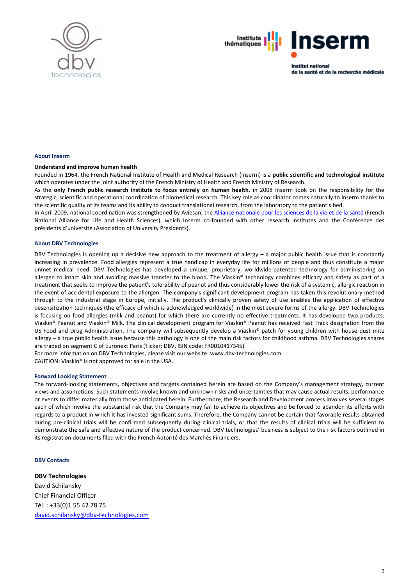



**Institut national** de la santé et de la recherche médicale

#### About Inserm

#### Understand and improve human health

Founded in 1964, the French National Institute of Health and Medical Research (Inserm) is a public scientific and technological institute which operates under the joint authority of the French Ministry of Health and French Ministry of Research.

As the only French public research institute to focus entirely on human health, in 2008 Inserm took on the responsibility for the strategic, scientific and operational coordination of biomedical research. This key role as coordinator comes naturally to Inserm thanks to the scientific quality of its teams and its ability to conduct translational research, from the laboratory to the patient's bed.

In April 2009, national coordination was strengthened by Aviesan, the Alliance nationale pour les sciences de la vie et de la santé (French National Alliance for Life and Health Sciences), which Inserm co-founded with other research institutes and the Conférence des présidents d'université (Association of University Presidents).

#### About DBV Technologies

DBV Technologies is opening up a decisive new approach to the treatment of allergy – a major public health issue that is constantly increasing in prevalence. Food allergies represent a true handicap in everyday life for millions of people and thus constitute a major unmet medical need. DBV Technologies has developed a unique, proprietary, worldwide-patented technology for administering an allergen to intact skin and avoiding massive transfer to the blood. The Viaskin® technology combines efficacy and safety as part of a treatment that seeks to improve the patient's tolerability of peanut and thus considerably lower the risk of a systemic, allergic reaction in the event of accidental exposure to the allergen. The company's significant development program has taken this revolutionary method through to the industrial stage in Europe, initially. The product's clinically proven safety of use enables the application of effective desensitization techniques (the efficacy of which is acknowledged worldwide) in the most severe forms of the allergy. DBV Technologies is focusing on food allergies (milk and peanut) for which there are currently no effective treatments. It has developed two products: Viaskin® Peanut and Viaskin® Milk. The clinical development program for Viaskin® Peanut has received Fast Track designation from the US Food and Drug Administration. The company will subsequently develop a Viaskin® patch for young children with house dust mite allergy – a true public health issue because this pathology is one of the main risk factors for childhood asthma. DBV Technologies shares are traded on segment C of Euronext Paris (Ticker: DBV, ISIN code: FR0010417345).

For more information on DBV Technologies, please visit our website: www.dbv-technologies.com CAUTION: Viaskin® is not approved for sale in the USA.

#### Forward Looking Statement

The forward-looking statements, objectives and targets contained herein are based on the Company's management strategy, current views and assumptions. Such statements involve known and unknown risks and uncertainties that may cause actual results, performance or events to differ materially from those anticipated herein. Furthermore, the Research and Development process involves several stages each of which involve the substantial risk that the Company may fail to achieve its objectives and be forced to abandon its efforts with regards to a product in which it has invested significant sums. Therefore, the Company cannot be certain that favorable results obtained during pre-clinical trials will be confirmed subsequently during clinical trials, or that the results of clinical trials will be sufficient to demonstrate the safe and effective nature of the product concerned. DBV technologies' business is subject to the risk factors outlined in its registration documents filed with the French Autorité des Marchés Financiers.

#### DBV Contacts

## DBV Technologies

David Schilansky Chief Financial Officer Tél. : +33(0)1 55 42 78 75 david.schilansky@dbv-technologies.com